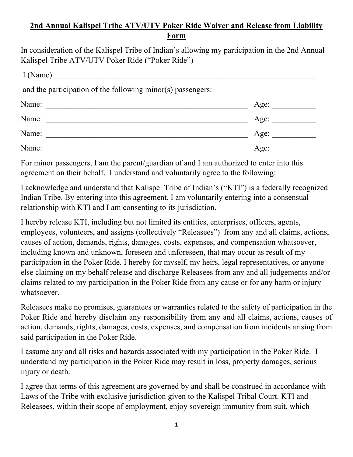## **2nd Annual Kalispel Tribe ATV/UTV Poker Ride Waiver and Release from Liability Form**

In consideration of the Kalispel Tribe of Indian's allowing my participation in the 2nd Annual Kalispel Tribe ATV/UTV Poker Ride ("Poker Ride")

| I(Name)                                                     |      |
|-------------------------------------------------------------|------|
| and the participation of the following minor(s) passengers: |      |
| Name:<br><u> 1980 - Jan Barbarat, margaret amerikan ba</u>  | Age: |
| Name:                                                       | Age: |
| Name:                                                       | Age: |
| Name:                                                       | Age: |

For minor passengers, I am the parent/guardian of and I am authorized to enter into this agreement on their behalf, I understand and voluntarily agree to the following:

I acknowledge and understand that Kalispel Tribe of Indian's ("KTI") is a federally recognized Indian Tribe. By entering into this agreement, I am voluntarily entering into a consensual relationship with KTI and I am consenting to its jurisdiction.

I hereby release KTI, including but not limited its entities, enterprises, officers, agents, employees, volunteers, and assigns (collectively "Releasees") from any and all claims, actions, causes of action, demands, rights, damages, costs, expenses, and compensation whatsoever, including known and unknown, foreseen and unforeseen, that may occur as result of my participation in the Poker Ride. I hereby for myself, my heirs, legal representatives, or anyone else claiming on my behalf release and discharge Releasees from any and all judgements and/or claims related to my participation in the Poker Ride from any cause or for any harm or injury whatsoever.

Releasees make no promises, guarantees or warranties related to the safety of participation in the Poker Ride and hereby disclaim any responsibility from any and all claims, actions, causes of action, demands, rights, damages, costs, expenses, and compensation from incidents arising from said participation in the Poker Ride.

I assume any and all risks and hazards associated with my participation in the Poker Ride. I understand my participation in the Poker Ride may result in loss, property damages, serious injury or death.

I agree that terms of this agreement are governed by and shall be construed in accordance with Laws of the Tribe with exclusive jurisdiction given to the Kalispel Tribal Court. KTI and Releasees, within their scope of employment, enjoy sovereign immunity from suit, which